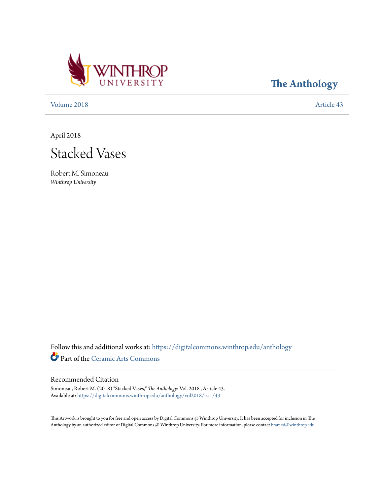

**[The Anthology](https://digitalcommons.winthrop.edu/anthology?utm_source=digitalcommons.winthrop.edu%2Fanthology%2Fvol2018%2Fiss1%2F43&utm_medium=PDF&utm_campaign=PDFCoverPages)**

[Volume 2018](https://digitalcommons.winthrop.edu/anthology/vol2018?utm_source=digitalcommons.winthrop.edu%2Fanthology%2Fvol2018%2Fiss1%2F43&utm_medium=PDF&utm_campaign=PDFCoverPages) [Article 43](https://digitalcommons.winthrop.edu/anthology/vol2018/iss1/43?utm_source=digitalcommons.winthrop.edu%2Fanthology%2Fvol2018%2Fiss1%2F43&utm_medium=PDF&utm_campaign=PDFCoverPages)

April 2018

Stacked Vases

Robert M. Simoneau *Winthrop University*

Follow this and additional works at: [https://digitalcommons.winthrop.edu/anthology](https://digitalcommons.winthrop.edu/anthology?utm_source=digitalcommons.winthrop.edu%2Fanthology%2Fvol2018%2Fiss1%2F43&utm_medium=PDF&utm_campaign=PDFCoverPages) Part of the [Ceramic Arts Commons](http://network.bepress.com/hgg/discipline/1336?utm_source=digitalcommons.winthrop.edu%2Fanthology%2Fvol2018%2Fiss1%2F43&utm_medium=PDF&utm_campaign=PDFCoverPages)

## Recommended Citation

Simoneau, Robert M. (2018) "Stacked Vases," *The Anthology*: Vol. 2018 , Article 43. Available at: [https://digitalcommons.winthrop.edu/anthology/vol2018/iss1/43](https://digitalcommons.winthrop.edu/anthology/vol2018/iss1/43?utm_source=digitalcommons.winthrop.edu%2Fanthology%2Fvol2018%2Fiss1%2F43&utm_medium=PDF&utm_campaign=PDFCoverPages)

This Artwork is brought to you for free and open access by Digital Commons @ Winthrop University. It has been accepted for inclusion in The Anthology by an authorized editor of Digital Commons @ Winthrop University. For more information, please contact [bramed@winthrop.edu](mailto:bramed@winthrop.edu).